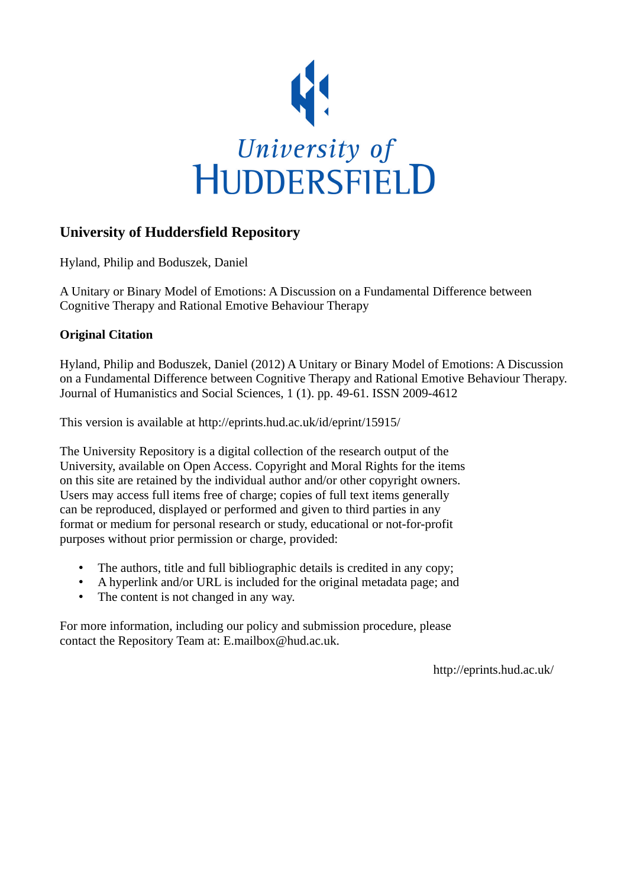

# **University of Huddersfield Repository**

Hyland, Philip and Boduszek, Daniel

A Unitary or Binary Model of Emotions: A Discussion on a Fundamental Difference between Cognitive Therapy and Rational Emotive Behaviour Therapy

#### **Original Citation**

Hyland, Philip and Boduszek, Daniel (2012) A Unitary or Binary Model of Emotions: A Discussion on a Fundamental Difference between Cognitive Therapy and Rational Emotive Behaviour Therapy. Journal of Humanistics and Social Sciences, 1 (1). pp. 49-61. ISSN 2009-4612

This version is available at http://eprints.hud.ac.uk/id/eprint/15915/

The University Repository is a digital collection of the research output of the University, available on Open Access. Copyright and Moral Rights for the items on this site are retained by the individual author and/or other copyright owners. Users may access full items free of charge; copies of full text items generally can be reproduced, displayed or performed and given to third parties in any format or medium for personal research or study, educational or not-for-profit purposes without prior permission or charge, provided:

- The authors, title and full bibliographic details is credited in any copy;
- A hyperlink and/or URL is included for the original metadata page; and
- The content is not changed in any way.

For more information, including our policy and submission procedure, please contact the Repository Team at: E.mailbox@hud.ac.uk.

http://eprints.hud.ac.uk/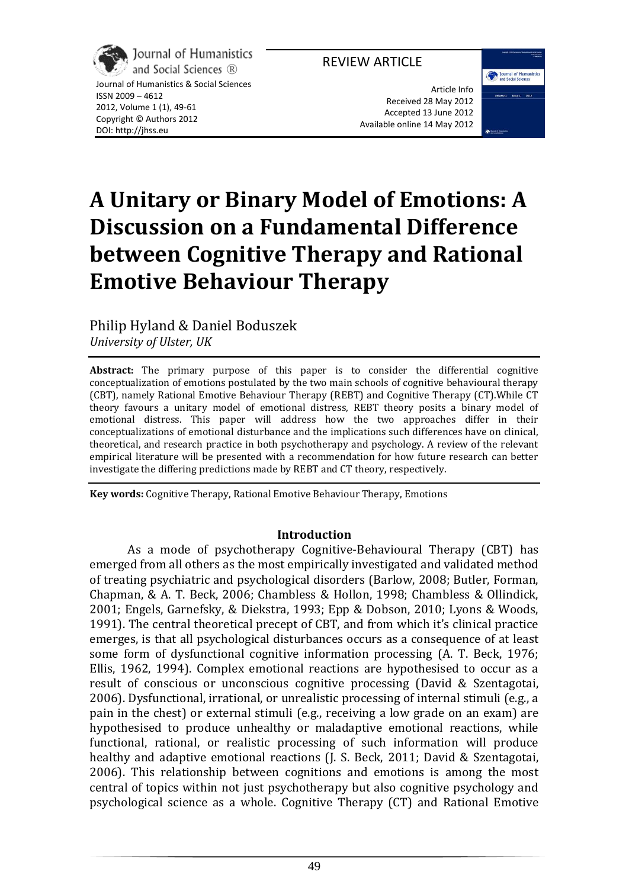# REVIEW ARTICLE



Journal of Humanistics & Social Sciences ISSN 2009 – 4612 2012, Volume 1 (1), 49-61 Copyright © Authors 2012 DOI: http://jhss.eu

Article Info Received 28 May 2012 Accepted 13 June 2012 Available online 14 May 2012



**A Unitary or Binary Model of Emotions: A Discussion on a Fundamental Difference between Cognitive Therapy and Rational Emotive Behaviour Therapy**

Philip Hyland & Daniel Boduszek *University of Ulster, UK*

**Abstract:** The primary purpose of this paper is to consider the differential cognitive conceptualization of emotions postulated by the two main schools of cognitive behavioural therapy (CBT), namely Rational Emotive Behaviour Therapy (REBT) and Cognitive Therapy (CT).While CT theory favours a unitary model of emotional distress, REBT theory posits a binary model of emotional distress. This paper will address how the two approaches differ in their conceptualizations of emotional disturbance and the implications such differences have on clinical, theoretical, and research practice in both psychotherapy and psychology. A review of the relevant empirical literature will be presented with a recommendation for how future research can better investigate the differing predictions made by REBT and CT theory, respectively.

**Key words:** Cognitive Therapy, Rational Emotive Behaviour Therapy, Emotions

#### **Introduction**

As a mode of psychotherapy Cognitive-Behavioural Therapy (CBT) has emerged from all others as the most empirically investigated and validated method of treating psychiatric and psychological disorders (Barlow, 2008; Butler, Forman, Chapman, & A. T. Beck, 2006; Chambless & Hollon, 1998; Chambless & Ollindick, 2001; Engels, Garnefsky, & Diekstra, 1993; Epp & Dobson, 2010; Lyons & Woods, 1991). The central theoretical precept of CBT, and from which it's clinical practice emerges, is that all psychological disturbances occurs as a consequence of at least some form of dysfunctional cognitive information processing (A. T. Beck, 1976; Ellis, 1962, 1994). Complex emotional reactions are hypothesised to occur as a result of conscious or unconscious cognitive processing (David & Szentagotai, 2006). Dysfunctional, irrational, or unrealistic processing of internal stimuli (e.g., a pain in the chest) or external stimuli (e.g., receiving a low grade on an exam) are hypothesised to produce unhealthy or maladaptive emotional reactions, while functional, rational, or realistic processing of such information will produce healthy and adaptive emotional reactions (J. S. Beck, 2011; David & Szentagotai, 2006). This relationship between cognitions and emotions is among the most central of topics within not just psychotherapy but also cognitive psychology and psychological science as a whole. Cognitive Therapy (CT) and Rational Emotive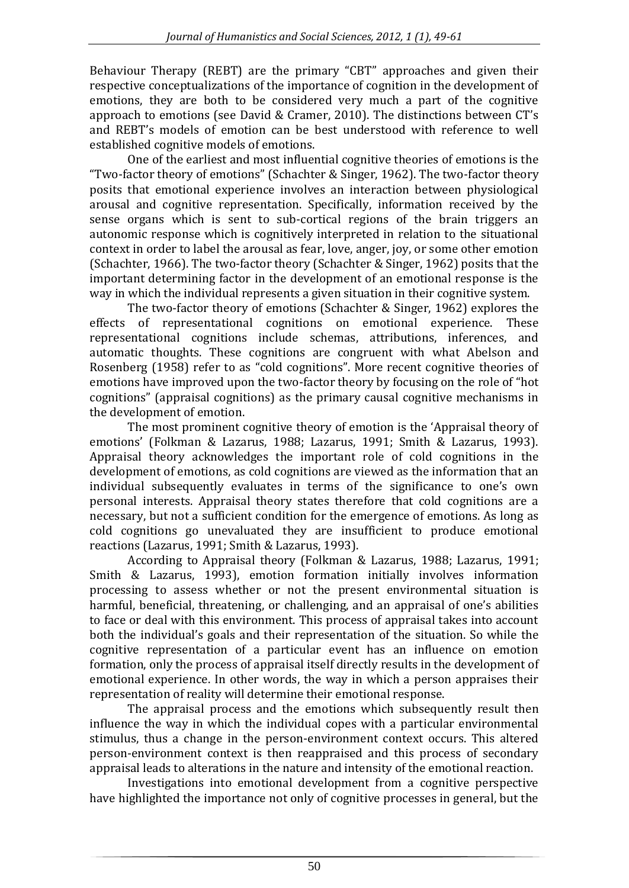Behaviour Therapy (REBT) are the primary "CBT" approaches and given their respective conceptualizations of the importance of cognition in the development of emotions, they are both to be considered very much a part of the cognitive approach to emotions (see David & Cramer, 2010). The distinctions between CT's and REBT's models of emotion can be best understood with reference to well established cognitive models of emotions.

One of the earliest and most influential cognitive theories of emotions is the "Two-factor theory of emotions" (Schachter & Singer, 1962). The two-factor theory posits that emotional experience involves an interaction between physiological arousal and cognitive representation. Specifically, information received by the sense organs which is sent to sub-cortical regions of the brain triggers an autonomic response which is cognitively interpreted in relation to the situational context in order to label the arousal as fear, love, anger, joy, or some other emotion (Schachter, 1966). The two-factor theory (Schachter & Singer, 1962) posits that the important determining factor in the development of an emotional response is the way in which the individual represents a given situation in their cognitive system.

The two-factor theory of emotions (Schachter & Singer, 1962) explores the effects of representational cognitions on emotional experience. These representational cognitions include schemas, attributions, inferences, and automatic thoughts. These cognitions are congruent with what Abelson and Rosenberg (1958) refer to as "cold cognitions". More recent cognitive theories of emotions have improved upon the two-factor theory by focusing on the role of "hot cognitions" (appraisal cognitions) as the primary causal cognitive mechanisms in the development of emotion.

The most prominent cognitive theory of emotion is the 'Appraisal theory of emotions' (Folkman & Lazarus, 1988; Lazarus, 1991; Smith & Lazarus, 1993). Appraisal theory acknowledges the important role of cold cognitions in the development of emotions, as cold cognitions are viewed as the information that an individual subsequently evaluates in terms of the significance to one's own personal interests. Appraisal theory states therefore that cold cognitions are a necessary, but not a sufficient condition for the emergence of emotions. As long as cold cognitions go unevaluated they are insufficient to produce emotional reactions (Lazarus, 1991; Smith & Lazarus, 1993).

According to Appraisal theory (Folkman & Lazarus, 1988; Lazarus, 1991; Smith & Lazarus, 1993), emotion formation initially involves information processing to assess whether or not the present environmental situation is harmful, beneficial, threatening, or challenging, and an appraisal of one's abilities to face or deal with this environment. This process of appraisal takes into account both the individual's goals and their representation of the situation. So while the cognitive representation of a particular event has an influence on emotion formation, only the process of appraisal itself directly results in the development of emotional experience. In other words, the way in which a person appraises their representation of reality will determine their emotional response.

The appraisal process and the emotions which subsequently result then influence the way in which the individual copes with a particular environmental stimulus, thus a change in the person-environment context occurs. This altered person-environment context is then reappraised and this process of secondary appraisal leads to alterations in the nature and intensity of the emotional reaction.

Investigations into emotional development from a cognitive perspective have highlighted the importance not only of cognitive processes in general, but the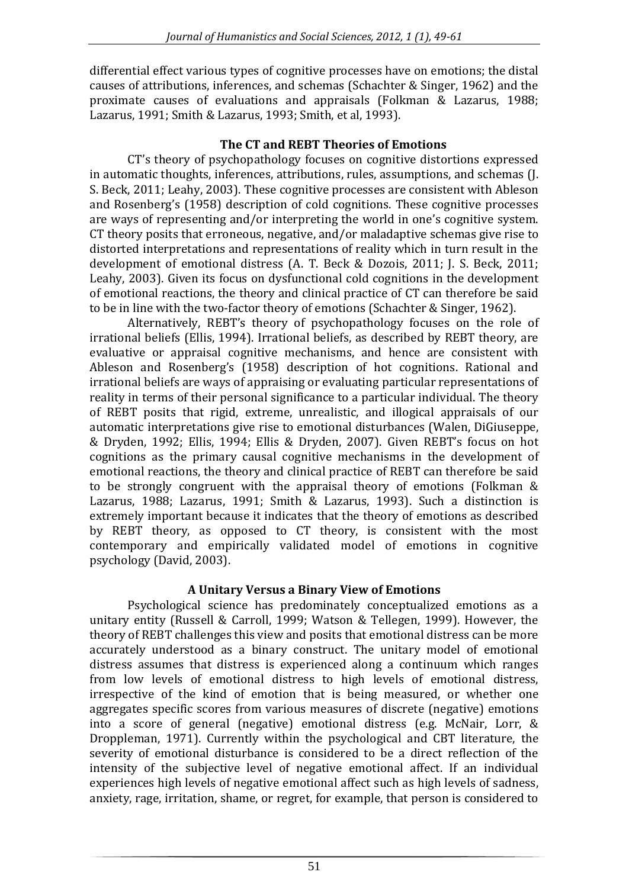differential effect various types of cognitive processes have on emotions; the distal causes of attributions, inferences, and schemas (Schachter & Singer, 1962) and the proximate causes of evaluations and appraisals (Folkman & Lazarus, 1988; Lazarus, 1991; Smith & Lazarus, 1993; Smith, et al, 1993).

### **The CT and REBT Theories of Emotions**

CT's theory of psychopathology focuses on cognitive distortions expressed in automatic thoughts, inferences, attributions, rules, assumptions, and schemas (J. S. Beck, 2011; Leahy, 2003). These cognitive processes are consistent with Ableson and Rosenberg's (1958) description of cold cognitions. These cognitive processes are ways of representing and/or interpreting the world in one's cognitive system. CT theory posits that erroneous, negative, and/or maladaptive schemas give rise to distorted interpretations and representations of reality which in turn result in the development of emotional distress (A. T. Beck & Dozois, 2011; J. S. Beck, 2011; Leahy, 2003). Given its focus on dysfunctional cold cognitions in the development of emotional reactions, the theory and clinical practice of CT can therefore be said to be in line with the two-factor theory of emotions (Schachter & Singer, 1962).

Alternatively, REBT's theory of psychopathology focuses on the role of irrational beliefs (Ellis, 1994). Irrational beliefs, as described by REBT theory, are evaluative or appraisal cognitive mechanisms, and hence are consistent with Ableson and Rosenberg's (1958) description of hot cognitions. Rational and irrational beliefs are ways of appraising or evaluating particular representations of reality in terms of their personal significance to a particular individual. The theory of REBT posits that rigid, extreme, unrealistic, and illogical appraisals of our automatic interpretations give rise to emotional disturbances (Walen, DiGiuseppe, & Dryden, 1992; Ellis, 1994; Ellis & Dryden, 2007). Given REBT's focus on hot cognitions as the primary causal cognitive mechanisms in the development of emotional reactions, the theory and clinical practice of REBT can therefore be said to be strongly congruent with the appraisal theory of emotions (Folkman & Lazarus, 1988; Lazarus, 1991; Smith & Lazarus, 1993). Such a distinction is extremely important because it indicates that the theory of emotions as described by REBT theory, as opposed to CT theory, is consistent with the most contemporary and empirically validated model of emotions in cognitive psychology (David, 2003).

# **A Unitary Versus a Binary View of Emotions**

Psychological science has predominately conceptualized emotions as a unitary entity (Russell & Carroll, 1999; Watson & Tellegen, 1999). However, the theory of REBT challenges this view and posits that emotional distress can be more accurately understood as a binary construct. The unitary model of emotional distress assumes that distress is experienced along a continuum which ranges from low levels of emotional distress to high levels of emotional distress, irrespective of the kind of emotion that is being measured, or whether one aggregates specific scores from various measures of discrete (negative) emotions into a score of general (negative) emotional distress (e.g. McNair, Lorr, & Droppleman, 1971). Currently within the psychological and CBT literature, the severity of emotional disturbance is considered to be a direct reflection of the intensity of the subjective level of negative emotional affect. If an individual experiences high levels of negative emotional affect such as high levels of sadness, anxiety, rage, irritation, shame, or regret, for example, that person is considered to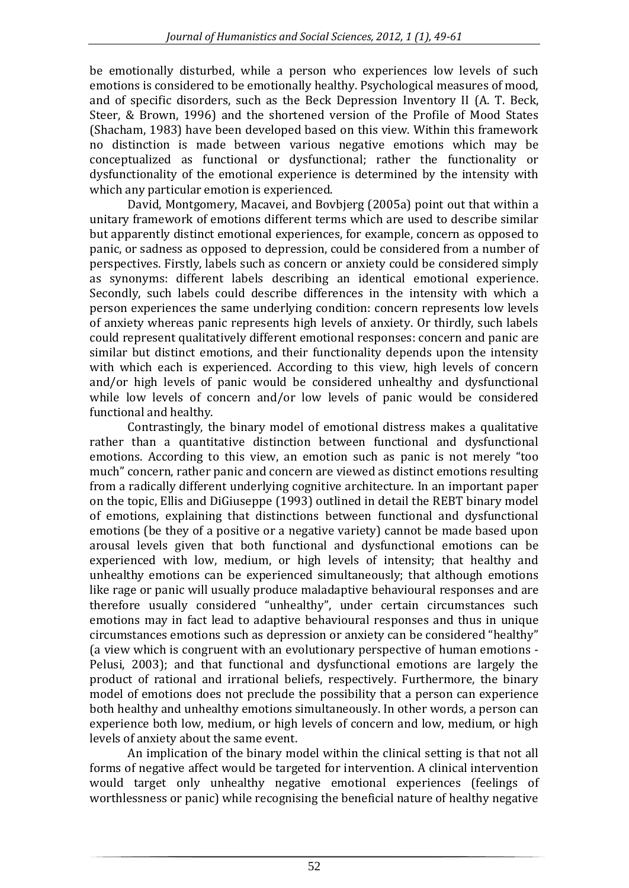be emotionally disturbed, while a person who experiences low levels of such emotions is considered to be emotionally healthy. Psychological measures of mood, and of specific disorders, such as the Beck Depression Inventory II (A. T. Beck, Steer, & Brown, 1996) and the shortened version of the Profile of Mood States (Shacham, 1983) have been developed based on this view. Within this framework no distinction is made between various negative emotions which may be conceptualized as functional or dysfunctional; rather the functionality or dysfunctionality of the emotional experience is determined by the intensity with which any particular emotion is experienced.

David, Montgomery, Macavei, and Bovbjerg (2005a) point out that within a unitary framework of emotions different terms which are used to describe similar but apparently distinct emotional experiences, for example, concern as opposed to panic, or sadness as opposed to depression, could be considered from a number of perspectives. Firstly, labels such as concern or anxiety could be considered simply as synonyms: different labels describing an identical emotional experience. Secondly, such labels could describe differences in the intensity with which a person experiences the same underlying condition: concern represents low levels of anxiety whereas panic represents high levels of anxiety. Or thirdly, such labels could represent qualitatively different emotional responses: concern and panic are similar but distinct emotions, and their functionality depends upon the intensity with which each is experienced. According to this view, high levels of concern and/or high levels of panic would be considered unhealthy and dysfunctional while low levels of concern and/or low levels of panic would be considered functional and healthy.

Contrastingly, the binary model of emotional distress makes a qualitative rather than a quantitative distinction between functional and dysfunctional emotions. According to this view, an emotion such as panic is not merely "too much" concern, rather panic and concern are viewed as distinct emotions resulting from a radically different underlying cognitive architecture. In an important paper on the topic, Ellis and DiGiuseppe (1993) outlined in detail the REBT binary model of emotions, explaining that distinctions between functional and dysfunctional emotions (be they of a positive or a negative variety) cannot be made based upon arousal levels given that both functional and dysfunctional emotions can be experienced with low, medium, or high levels of intensity; that healthy and unhealthy emotions can be experienced simultaneously; that although emotions like rage or panic will usually produce maladaptive behavioural responses and are therefore usually considered "unhealthy", under certain circumstances such emotions may in fact lead to adaptive behavioural responses and thus in unique circumstances emotions such as depression or anxiety can be considered "healthy" (a view which is congruent with an evolutionary perspective of human emotions - Pelusi, 2003); and that functional and dysfunctional emotions are largely the product of rational and irrational beliefs, respectively. Furthermore, the binary model of emotions does not preclude the possibility that a person can experience both healthy and unhealthy emotions simultaneously. In other words, a person can experience both low, medium, or high levels of concern and low, medium, or high levels of anxiety about the same event.

An implication of the binary model within the clinical setting is that not all forms of negative affect would be targeted for intervention. A clinical intervention would target only unhealthy negative emotional experiences (feelings of worthlessness or panic) while recognising the beneficial nature of healthy negative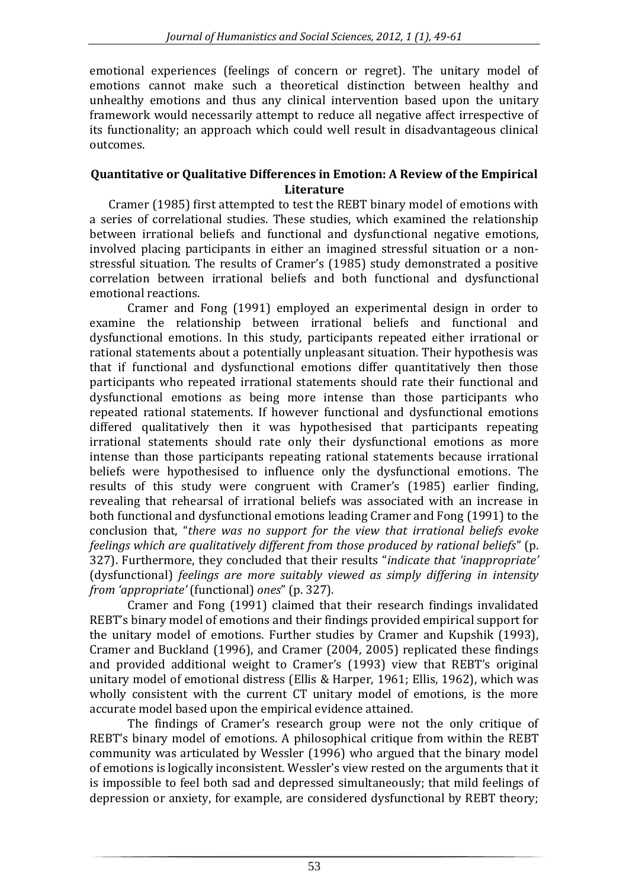emotional experiences (feelings of concern or regret). The unitary model of emotions cannot make such a theoretical distinction between healthy and unhealthy emotions and thus any clinical intervention based upon the unitary framework would necessarily attempt to reduce all negative affect irrespective of its functionality; an approach which could well result in disadvantageous clinical outcomes.

#### **Quantitative or Qualitative Differences in Emotion: A Review of the Empirical Literature**

Cramer (1985) first attempted to test the REBT binary model of emotions with a series of correlational studies. These studies, which examined the relationship between irrational beliefs and functional and dysfunctional negative emotions, involved placing participants in either an imagined stressful situation or a nonstressful situation. The results of Cramer's (1985) study demonstrated a positive correlation between irrational beliefs and both functional and dysfunctional emotional reactions.

Cramer and Fong (1991) employed an experimental design in order to examine the relationship between irrational beliefs and functional and dysfunctional emotions. In this study, participants repeated either irrational or rational statements about a potentially unpleasant situation. Their hypothesis was that if functional and dysfunctional emotions differ quantitatively then those participants who repeated irrational statements should rate their functional and dysfunctional emotions as being more intense than those participants who repeated rational statements. If however functional and dysfunctional emotions differed qualitatively then it was hypothesised that participants repeating irrational statements should rate only their dysfunctional emotions as more intense than those participants repeating rational statements because irrational beliefs were hypothesised to influence only the dysfunctional emotions. The results of this study were congruent with Cramer's (1985) earlier finding, revealing that rehearsal of irrational beliefs was associated with an increase in both functional and dysfunctional emotions leading Cramer and Fong (1991) to the conclusion that, "*there was no support for the view that irrational beliefs evoke feelings which are qualitatively different from those produced by rational beliefs*" (p. 327). Furthermore, they concluded that their results "*indicate that 'inappropriate'*  (dysfunctional) *feelings are more suitably viewed as simply differing in intensity from 'appropriate'* (functional) *ones*" (p. 327).

Cramer and Fong (1991) claimed that their research findings invalidated REBT's binary model of emotions and their findings provided empirical support for the unitary model of emotions. Further studies by Cramer and Kupshik (1993), Cramer and Buckland (1996), and Cramer (2004, 2005) replicated these findings and provided additional weight to Cramer's (1993) view that REBT's original unitary model of emotional distress (Ellis & Harper, 1961; Ellis, 1962), which was wholly consistent with the current CT unitary model of emotions, is the more accurate model based upon the empirical evidence attained.

The findings of Cramer's research group were not the only critique of REBT's binary model of emotions. A philosophical critique from within the REBT community was articulated by Wessler (1996) who argued that the binary model of emotions is logically inconsistent. Wessler's view rested on the arguments that it is impossible to feel both sad and depressed simultaneously; that mild feelings of depression or anxiety, for example, are considered dysfunctional by REBT theory;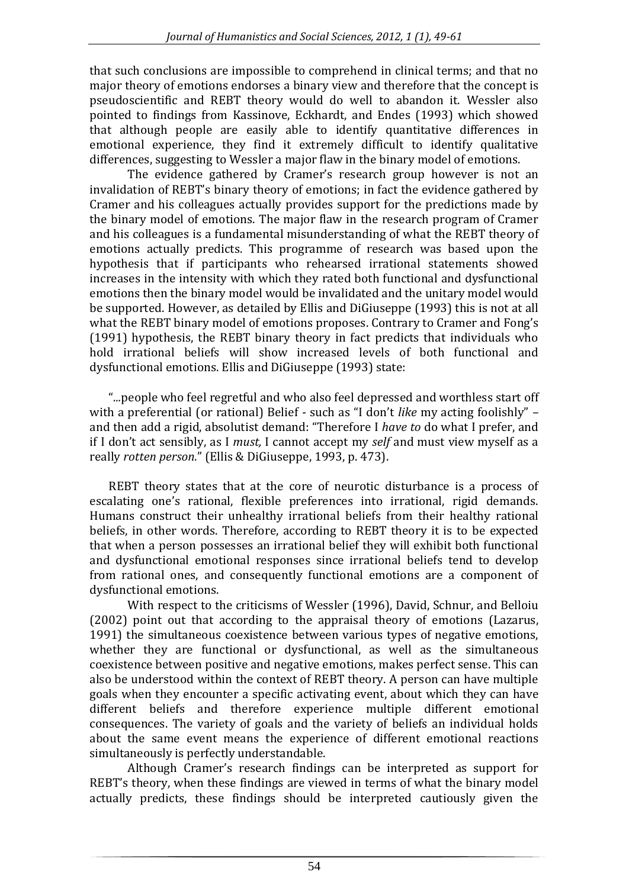that such conclusions are impossible to comprehend in clinical terms; and that no major theory of emotions endorses a binary view and therefore that the concept is pseudoscientific and REBT theory would do well to abandon it. Wessler also pointed to findings from Kassinove, Eckhardt, and Endes (1993) which showed that although people are easily able to identify quantitative differences in emotional experience, they find it extremely difficult to identify qualitative differences, suggesting to Wessler a major flaw in the binary model of emotions.

The evidence gathered by Cramer's research group however is not an invalidation of REBT's binary theory of emotions; in fact the evidence gathered by Cramer and his colleagues actually provides support for the predictions made by the binary model of emotions. The major flaw in the research program of Cramer and his colleagues is a fundamental misunderstanding of what the REBT theory of emotions actually predicts. This programme of research was based upon the hypothesis that if participants who rehearsed irrational statements showed increases in the intensity with which they rated both functional and dysfunctional emotions then the binary model would be invalidated and the unitary model would be supported. However, as detailed by Ellis and DiGiuseppe (1993) this is not at all what the REBT binary model of emotions proposes. Contrary to Cramer and Fong's (1991) hypothesis, the REBT binary theory in fact predicts that individuals who hold irrational beliefs will show increased levels of both functional and dysfunctional emotions. Ellis and DiGiuseppe (1993) state:

"*...*people who feel regretful and who also feel depressed and worthless start off with a preferential (or rational) Belief - such as "I don't *like* my acting foolishly" – and then add a rigid, absolutist demand: "Therefore I *have to* do what I prefer, and if I don't act sensibly, as I *must,* I cannot accept my *self* and must view myself as a really *rotten person*." (Ellis & DiGiuseppe, 1993, p. 473).

REBT theory states that at the core of neurotic disturbance is a process of escalating one's rational, flexible preferences into irrational, rigid demands. Humans construct their unhealthy irrational beliefs from their healthy rational beliefs, in other words. Therefore, according to REBT theory it is to be expected that when a person possesses an irrational belief they will exhibit both functional and dysfunctional emotional responses since irrational beliefs tend to develop from rational ones, and consequently functional emotions are a component of dysfunctional emotions.

With respect to the criticisms of Wessler (1996), David, Schnur, and Belloiu (2002) point out that according to the appraisal theory of emotions (Lazarus, 1991) the simultaneous coexistence between various types of negative emotions, whether they are functional or dysfunctional, as well as the simultaneous coexistence between positive and negative emotions, makes perfect sense. This can also be understood within the context of REBT theory. A person can have multiple goals when they encounter a specific activating event, about which they can have different beliefs and therefore experience multiple different emotional consequences. The variety of goals and the variety of beliefs an individual holds about the same event means the experience of different emotional reactions simultaneously is perfectly understandable.

Although Cramer's research findings can be interpreted as support for REBT's theory, when these findings are viewed in terms of what the binary model actually predicts, these findings should be interpreted cautiously given the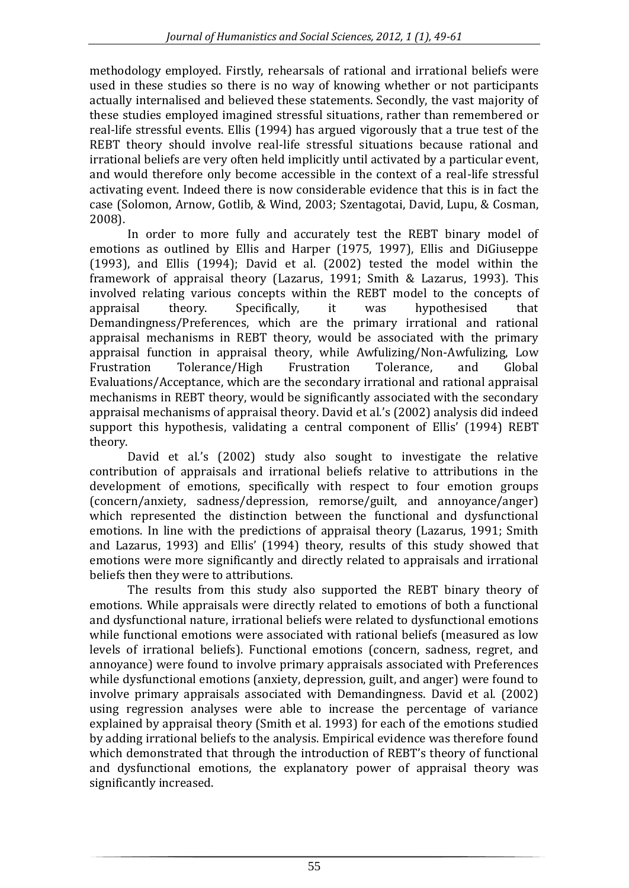methodology employed. Firstly, rehearsals of rational and irrational beliefs were used in these studies so there is no way of knowing whether or not participants actually internalised and believed these statements. Secondly, the vast majority of these studies employed imagined stressful situations, rather than remembered or real-life stressful events. Ellis (1994) has argued vigorously that a true test of the REBT theory should involve real-life stressful situations because rational and irrational beliefs are very often held implicitly until activated by a particular event, and would therefore only become accessible in the context of a real-life stressful activating event. Indeed there is now considerable evidence that this is in fact the case (Solomon, Arnow, Gotlib, & Wind, 2003; Szentagotai, David, Lupu, & Cosman, 2008).

In order to more fully and accurately test the REBT binary model of emotions as outlined by Ellis and Harper (1975, 1997), Ellis and DiGiuseppe (1993), and Ellis (1994); David et al. (2002) tested the model within the framework of appraisal theory (Lazarus, 1991; Smith & Lazarus, 1993). This involved relating various concepts within the REBT model to the concepts of appraisal theory. Specifically, it was hypothesised that Demandingness/Preferences, which are the primary irrational and rational appraisal mechanisms in REBT theory, would be associated with the primary appraisal function in appraisal theory, while Awfulizing/Non-Awfulizing, Low Frustration Tolerance/High Frustration Tolerance, and Global Evaluations/Acceptance, which are the secondary irrational and rational appraisal mechanisms in REBT theory, would be significantly associated with the secondary appraisal mechanisms of appraisal theory. David et al.'s (2002) analysis did indeed support this hypothesis, validating a central component of Ellis' (1994) REBT theory.

David et al.'s (2002) study also sought to investigate the relative contribution of appraisals and irrational beliefs relative to attributions in the development of emotions, specifically with respect to four emotion groups (concern/anxiety, sadness/depression, remorse/guilt, and annoyance/anger) which represented the distinction between the functional and dysfunctional emotions. In line with the predictions of appraisal theory (Lazarus, 1991; Smith and Lazarus, 1993) and Ellis' (1994) theory, results of this study showed that emotions were more significantly and directly related to appraisals and irrational beliefs then they were to attributions.

The results from this study also supported the REBT binary theory of emotions. While appraisals were directly related to emotions of both a functional and dysfunctional nature, irrational beliefs were related to dysfunctional emotions while functional emotions were associated with rational beliefs (measured as low levels of irrational beliefs). Functional emotions (concern, sadness, regret, and annoyance) were found to involve primary appraisals associated with Preferences while dysfunctional emotions (anxiety, depression, guilt, and anger) were found to involve primary appraisals associated with Demandingness. David et al. (2002) using regression analyses were able to increase the percentage of variance explained by appraisal theory (Smith et al. 1993) for each of the emotions studied by adding irrational beliefs to the analysis. Empirical evidence was therefore found which demonstrated that through the introduction of REBT's theory of functional and dysfunctional emotions, the explanatory power of appraisal theory was significantly increased.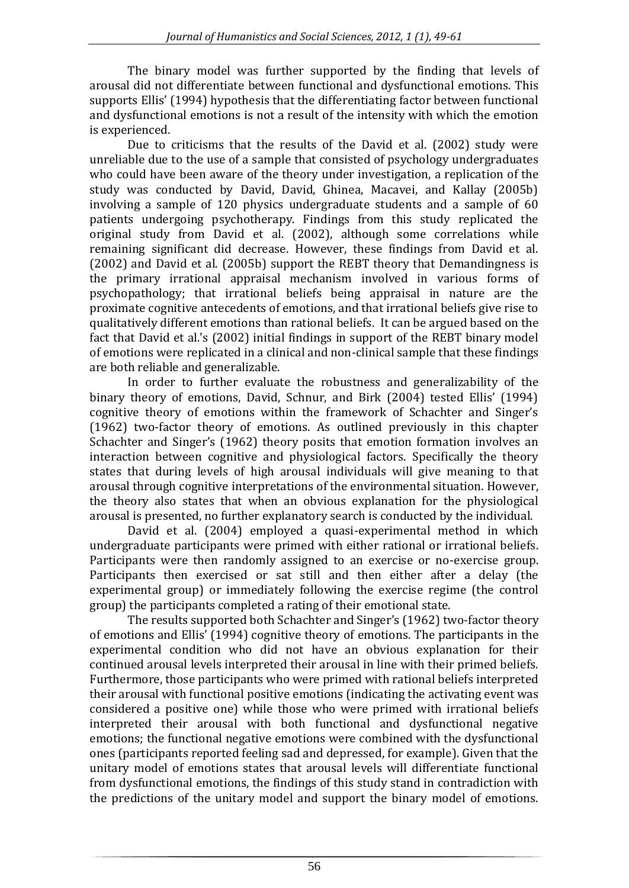The binary model was further supported by the finding that levels of arousal did not differentiate between functional and dysfunctional emotions. This supports Ellis' (1994) hypothesis that the differentiating factor between functional and dysfunctional emotions is not a result of the intensity with which the emotion is experienced.

Due to criticisms that the results of the David et al. (2002) study were unreliable due to the use of a sample that consisted of psychology undergraduates who could have been aware of the theory under investigation, a replication of the study was conducted by David, David, Ghinea, Macavei, and Kallay (2005b) involving a sample of 120 physics undergraduate students and a sample of 60 patients undergoing psychotherapy. Findings from this study replicated the original study from David et al. (2002), although some correlations while remaining significant did decrease. However, these findings from David et al. (2002) and David et al. (2005b) support the REBT theory that Demandingness is the primary irrational appraisal mechanism involved in various forms of psychopathology; that irrational beliefs being appraisal in nature are the proximate cognitive antecedents of emotions, and that irrational beliefs give rise to qualitatively different emotions than rational beliefs. It can be argued based on the fact that David et al.'s (2002) initial findings in support of the REBT binary model of emotions were replicated in a clinical and non-clinical sample that these findings are both reliable and generalizable.

In order to further evaluate the robustness and generalizability of the binary theory of emotions, David, Schnur, and Birk (2004) tested Ellis' (1994) cognitive theory of emotions within the framework of Schachter and Singer's (1962) two-factor theory of emotions. As outlined previously in this chapter Schachter and Singer's (1962) theory posits that emotion formation involves an interaction between cognitive and physiological factors. Specifically the theory states that during levels of high arousal individuals will give meaning to that arousal through cognitive interpretations of the environmental situation. However, the theory also states that when an obvious explanation for the physiological arousal is presented, no further explanatory search is conducted by the individual.

David et al. (2004) employed a quasi-experimental method in which undergraduate participants were primed with either rational or irrational beliefs. Participants were then randomly assigned to an exercise or no-exercise group. Participants then exercised or sat still and then either after a delay (the experimental group) or immediately following the exercise regime (the control group) the participants completed a rating of their emotional state.

The results supported both Schachter and Singer's (1962) two-factor theory of emotions and Ellis' (1994) cognitive theory of emotions. The participants in the experimental condition who did not have an obvious explanation for their continued arousal levels interpreted their arousal in line with their primed beliefs. Furthermore, those participants who were primed with rational beliefs interpreted their arousal with functional positive emotions (indicating the activating event was considered a positive one) while those who were primed with irrational beliefs interpreted their arousal with both functional and dysfunctional negative emotions; the functional negative emotions were combined with the dysfunctional ones (participants reported feeling sad and depressed, for example). Given that the unitary model of emotions states that arousal levels will differentiate functional from dysfunctional emotions, the findings of this study stand in contradiction with the predictions of the unitary model and support the binary model of emotions.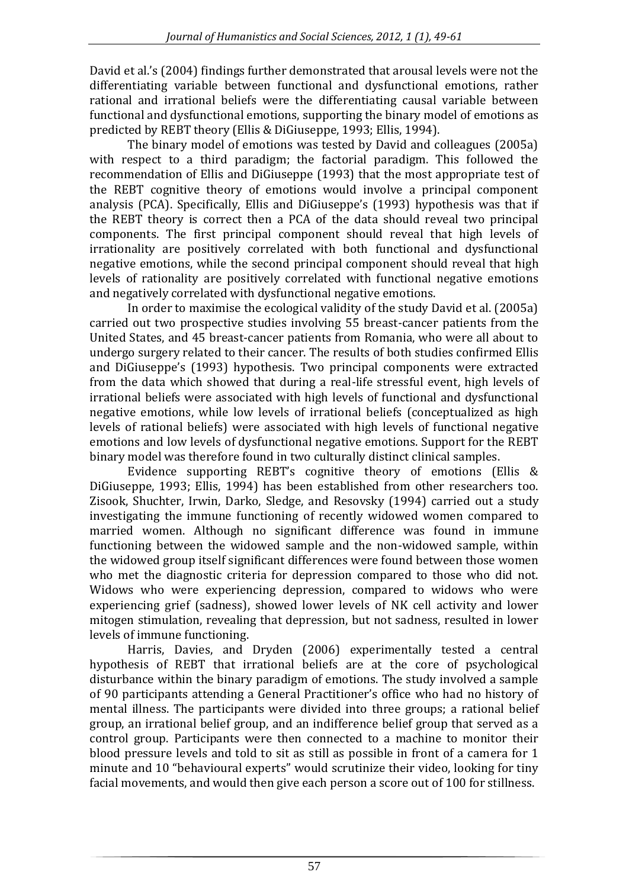David et al.'s (2004) findings further demonstrated that arousal levels were not the differentiating variable between functional and dysfunctional emotions, rather rational and irrational beliefs were the differentiating causal variable between functional and dysfunctional emotions, supporting the binary model of emotions as predicted by REBT theory (Ellis & DiGiuseppe, 1993; Ellis, 1994).

The binary model of emotions was tested by David and colleagues (2005a) with respect to a third paradigm; the factorial paradigm. This followed the recommendation of Ellis and DiGiuseppe (1993) that the most appropriate test of the REBT cognitive theory of emotions would involve a principal component analysis (PCA). Specifically, Ellis and DiGiuseppe's (1993) hypothesis was that if the REBT theory is correct then a PCA of the data should reveal two principal components. The first principal component should reveal that high levels of irrationality are positively correlated with both functional and dysfunctional negative emotions, while the second principal component should reveal that high levels of rationality are positively correlated with functional negative emotions and negatively correlated with dysfunctional negative emotions.

In order to maximise the ecological validity of the study David et al. (2005a) carried out two prospective studies involving 55 breast-cancer patients from the United States, and 45 breast-cancer patients from Romania, who were all about to undergo surgery related to their cancer. The results of both studies confirmed Ellis and DiGiuseppe's (1993) hypothesis. Two principal components were extracted from the data which showed that during a real-life stressful event, high levels of irrational beliefs were associated with high levels of functional and dysfunctional negative emotions, while low levels of irrational beliefs (conceptualized as high levels of rational beliefs) were associated with high levels of functional negative emotions and low levels of dysfunctional negative emotions. Support for the REBT binary model was therefore found in two culturally distinct clinical samples.

Evidence supporting REBT's cognitive theory of emotions (Ellis & DiGiuseppe, 1993; Ellis, 1994) has been established from other researchers too. Zisook, Shuchter, Irwin, Darko, Sledge, and Resovsky (1994) carried out a study investigating the immune functioning of recently widowed women compared to married women. Although no significant difference was found in immune functioning between the widowed sample and the non-widowed sample, within the widowed group itself significant differences were found between those women who met the diagnostic criteria for depression compared to those who did not. Widows who were experiencing depression, compared to widows who were experiencing grief (sadness), showed lower levels of NK cell activity and lower mitogen stimulation, revealing that depression, but not sadness, resulted in lower levels of immune functioning.

Harris, Davies, and Dryden (2006) experimentally tested a central hypothesis of REBT that irrational beliefs are at the core of psychological disturbance within the binary paradigm of emotions. The study involved a sample of 90 participants attending a General Practitioner's office who had no history of mental illness. The participants were divided into three groups; a rational belief group, an irrational belief group, and an indifference belief group that served as a control group. Participants were then connected to a machine to monitor their blood pressure levels and told to sit as still as possible in front of a camera for 1 minute and 10 "behavioural experts" would scrutinize their video, looking for tiny facial movements, and would then give each person a score out of 100 for stillness.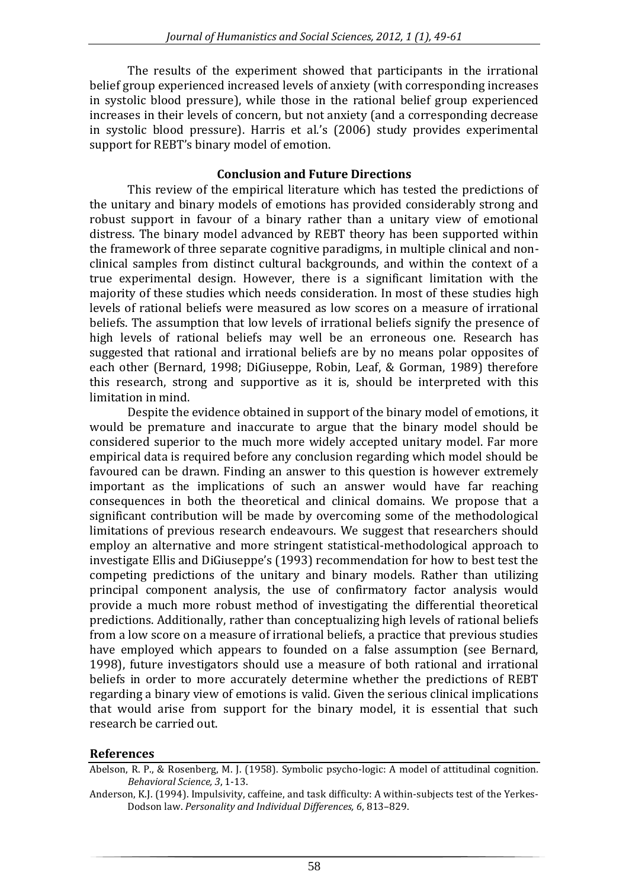The results of the experiment showed that participants in the irrational belief group experienced increased levels of anxiety (with corresponding increases in systolic blood pressure), while those in the rational belief group experienced increases in their levels of concern, but not anxiety (and a corresponding decrease in systolic blood pressure). Harris et al.'s (2006) study provides experimental support for REBT's binary model of emotion.

# **Conclusion and Future Directions**

This review of the empirical literature which has tested the predictions of the unitary and binary models of emotions has provided considerably strong and robust support in favour of a binary rather than a unitary view of emotional distress. The binary model advanced by REBT theory has been supported within the framework of three separate cognitive paradigms, in multiple clinical and nonclinical samples from distinct cultural backgrounds, and within the context of a true experimental design. However, there is a significant limitation with the majority of these studies which needs consideration. In most of these studies high levels of rational beliefs were measured as low scores on a measure of irrational beliefs. The assumption that low levels of irrational beliefs signify the presence of high levels of rational beliefs may well be an erroneous one. Research has suggested that rational and irrational beliefs are by no means polar opposites of each other (Bernard, 1998; DiGiuseppe, Robin, Leaf, & Gorman, 1989) therefore this research, strong and supportive as it is, should be interpreted with this limitation in mind.

Despite the evidence obtained in support of the binary model of emotions, it would be premature and inaccurate to argue that the binary model should be considered superior to the much more widely accepted unitary model. Far more empirical data is required before any conclusion regarding which model should be favoured can be drawn. Finding an answer to this question is however extremely important as the implications of such an answer would have far reaching consequences in both the theoretical and clinical domains. We propose that a significant contribution will be made by overcoming some of the methodological limitations of previous research endeavours. We suggest that researchers should employ an alternative and more stringent statistical-methodological approach to investigate Ellis and DiGiuseppe's (1993) recommendation for how to best test the competing predictions of the unitary and binary models. Rather than utilizing principal component analysis, the use of confirmatory factor analysis would provide a much more robust method of investigating the differential theoretical predictions. Additionally, rather than conceptualizing high levels of rational beliefs from a low score on a measure of irrational beliefs, a practice that previous studies have employed which appears to founded on a false assumption (see Bernard, 1998), future investigators should use a measure of both rational and irrational beliefs in order to more accurately determine whether the predictions of REBT regarding a binary view of emotions is valid. Given the serious clinical implications that would arise from support for the binary model, it is essential that such research be carried out.

# **References**

Abelson, R. P., & Rosenberg, M. J. (1958). Symbolic psycho-logic: A model of attitudinal cognition*. Behavioral Science, 3*, 1-13.

Anderson, K.J. (1994). Impulsivity, caffeine, and task difficulty: A within-subjects test of the Yerkes-Dodson law. *Personality and Individual Differences, 6*, 813–829.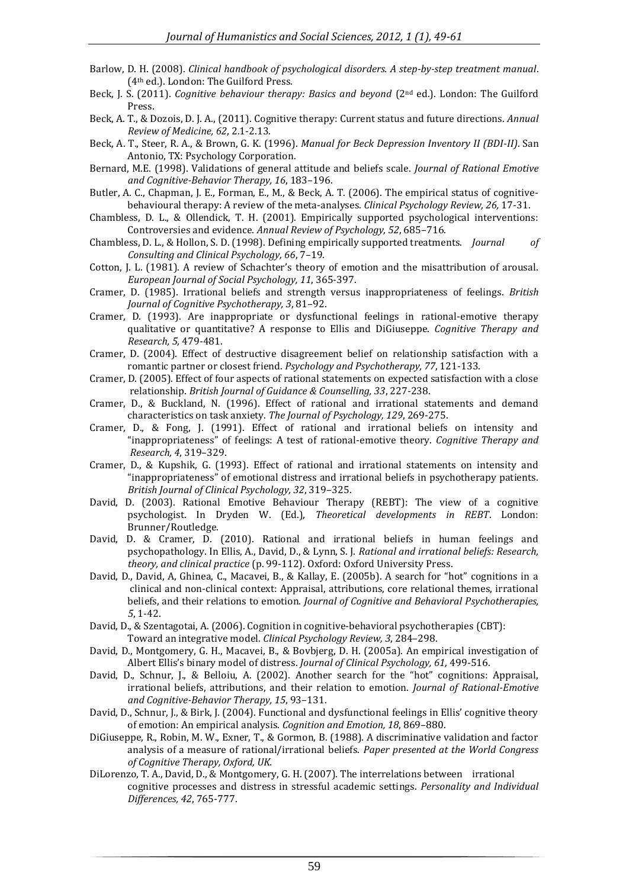- Barlow, D. H. (2008). *Clinical handbook of psychological disorders. A step-by-step treatment manual*. (4th ed.). London: The Guilford Press.
- Beck, J. S. (2011). *Cognitive behaviour therapy: Basics and beyond* (2<sup>nd</sup> ed.). London: The Guilford Press.
- Beck, A. T., & Dozois, D. J. A., (2011). Cognitive therapy: Current status and future directions. *Annual Review of Medicine, 62*, 2.1-2.13.
- Beck, A. T., Steer, R. A., & Brown, G. K. (1996). *Manual for Beck Depression Inventory II (BDI-II)*. San Antonio, TX: Psychology Corporation.
- Bernard, M.E. (1998). Validations of general attitude and beliefs scale. *Journal of Rational Emotive and Cognitive-Behavior Therapy, 16*, 183–196.
- Butler, A. C., Chapman, J. E., Forman, E., M., & Beck, A. T. (2006). The empirical status of cognitivebehavioural therapy: A review of the meta-analyses. *Clinical Psychology Review, 26,* 17-31.
- Chambless, D. L., & Ollendick, T. H. (2001). Empirically supported psychological interventions: Controversies and evidence. *Annual Review of Psychology, 52*, 685–716.
- Chambless, D. L., & Hollon, S. D. (1998). Defining empirically supported treatments. *Journal of Consulting and Clinical Psychology, 66*, 7–19.
- Cotton, J. L. (1981). A review of Schachter's theory of emotion and the misattribution of arousal. *European Journal of Social Psychology, 11*, 365-397.
- Cramer, D. (1985). Irrational beliefs and strength versus inappropriateness of feelings. *British Journal of Cognitive Psychotherapy, 3*, 81–92.
- Cramer, D. (1993). Are inappropriate or dysfunctional feelings in rational-emotive therapy qualitative or quantitative? A response to Ellis and DiGiuseppe. *Cognitive Therapy and Research, 5,* 479-481.
- Cramer, D. (2004). Effect of destructive disagreement belief on relationship satisfaction with a romantic partner or closest friend. *Psychology and Psychotherapy, 77*, 121-133.
- Cramer, D. (2005). Effect of four aspects of rational statements on expected satisfaction with a close relationship. *British Journal of Guidance & Counselling, 33*, 227-238.
- Cramer, D., & Buckland, N. (1996). Effect of rational and irrational statements and demand characteristics on task anxiety. *The Journal of Psychology, 129*, 269-275.
- Cramer, D., & Fong, J. (1991). Effect of rational and irrational beliefs on intensity and "inappropriateness" of feelings: A test of rational-emotive theory. *Cognitive Therapy and Research, 4*, 319–329.
- Cramer, D., & Kupshik, G. (1993). Effect of rational and irrational statements on intensity and "inappropriateness" of emotional distress and irrational beliefs in psychotherapy patients. *British Journal of Clinical Psychology, 32*, 319–325.
- David, D. (2003). Rational Emotive Behaviour Therapy (REBT): The view of a cognitive psychologist. In Dryden W. (Ed.), *Theoretical developments in REBT*. London: Brunner/Routledge.
- David, D. & Cramer, D. (2010). Rational and irrational beliefs in human feelings and psychopathology. In Ellis, A., David, D., & Lynn, S. J. *Rational and irrational beliefs: Research, theory, and clinical practice* (p. 99-112). Oxford: Oxford University Press.
- David, D., David, A, Ghinea, C., Macavei, B., & Kallay, E. (2005b). A search for "hot" cognitions in a clinical and non-clinical context: Appraisal, attributions, core relational themes, irrational beliefs, and their relations to emotion. *Journal of Cognitive and Behavioral Psychotherapies, 5*, 1-42.
- David, D., & Szentagotai, A. (2006). Cognition in cognitive-behavioral psychotherapies (CBT): Toward an integrative model. *Clinical Psychology Review, 3*, 284–298.
- David, D., Montgomery, G. H., Macavei, B., & Bovbjerg, D. H. (2005a). An empirical investigation of Albert Ellis's binary model of distress. *Journal of Clinical Psychology, 61,* 499-516.
- David, D., Schnur, J., & Belloiu, A. (2002). Another search for the "hot" cognitions: Appraisal, irrational beliefs, attributions, and their relation to emotion. *Journal of Rational-Emotive and Cognitive-Behavior Therapy, 15*, 93–131.
- David, D., Schnur, J., & Birk, J. (2004). Functional and dysfunctional feelings in Ellis' cognitive theory of emotion: An empirical analysis. *Cognition and Emotion, 18*, 869–880.
- DiGiuseppe, R., Robin, M. W., Exner, T., & Gormon, B. (1988). A discriminative validation and factor analysis of a measure of rational/irrational beliefs. *Paper presented at the World Congress of Cognitive Therapy, Oxford, UK.*
- DiLorenzo, T. A., David, D., & Montgomery, G. H. (2007). The interrelations between irrational cognitive processes and distress in stressful academic settings. *Personality and Individual Differences, 42*, 765-777.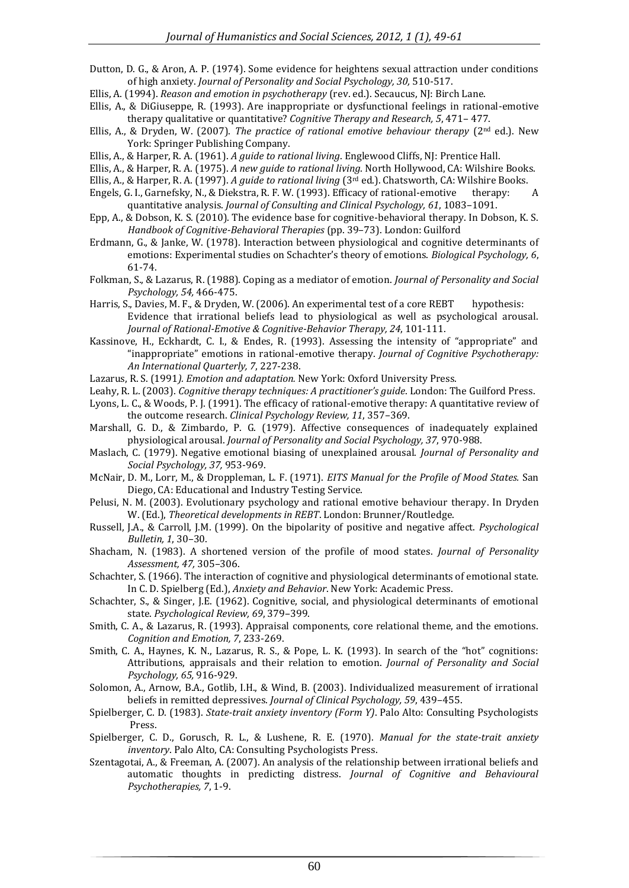- Dutton, D. G., & Aron, A. P. (1974). Some evidence for heightens sexual attraction under conditions of high anxiety. *Journal of Personality and Social Psychology, 30,* 510-517.
- Ellis, A. (1994). *Reason and emotion in psychotherapy* (rev. ed.). Secaucus, NJ: Birch Lane.
- Ellis, A., & DiGiuseppe, R. (1993). Are inappropriate or dysfunctional feelings in rational-emotive therapy qualitative or quantitative? *Cognitive Therapy and Research, 5*, 471– 477.
- Ellis, A., & Dryden, W. (2007). *The practice of rational emotive behaviour therapy* (2nd ed.). New York: Springer Publishing Company.
- Ellis, A., & Harper, R. A. (1961). *A guide to rational living*. Englewood Cliffs, NJ: Prentice Hall.
- Ellis, A., & Harper, R. A. (1975). *A new guide to rational living*. North Hollywood, CA: Wilshire Books.
- Ellis, A., & Harper, R. A. (1997). *A guide to rational living* (3rd ed.). Chatsworth, CA: Wilshire Books.
- Engels, G. I., Garnefsky, N., & Diekstra, R. F. W. (1993). Efficacy of rational-emotive therapy: A quantitative analysis. *Journal of Consulting and Clinical Psychology, 61*, 1083–1091.
- Epp, A., & Dobson, K. S. (2010). The evidence base for cognitive-behavioral therapy. In Dobson, K. S. *Handbook of Cognitive-Behavioral Therapies* (pp. 39–73). London: Guilford
- Erdmann, G., & Janke, W. (1978). Interaction between physiological and cognitive determinants of emotions: Experimental studies on Schachter's theory of emotions. *Biological Psychology, 6*, 61-74.
- Folkman, S., & Lazarus, R. (1988). Coping as a mediator of emotion. *Journal of Personality and Social Psychology, 54,* 466-475.
- Harris, S., Davies, M. F., & Dryden, W. (2006). An experimental test of a core REBT hypothesis: Evidence that irrational beliefs lead to physiological as well as psychological arousal. *Journal of Rational-Emotive & Cognitive-Behavior Therapy, 24*, 101-111.
- Kassinove, H., Eckhardt, C. I., & Endes, R. (1993). Assessing the intensity of "appropriate" and "inappropriate" emotions in rational-emotive therapy. *Journal of Cognitive Psychotherapy: An International Quarterly, 7*, 227-238.
- Lazarus, R. S. (1991*). Emotion and adaptation.* New York: Oxford University Press.
- Leahy, R. L. (2003). *Cognitive therapy techniques: A practitioner's guide*. London: The Guilford Press.
- Lyons, L. C., & Woods, P. J. (1991). The efficacy of rational-emotive therapy: A quantitative review of the outcome research. *Clinical Psychology Review, 11*, 357–369.
- Marshall, G. D., & Zimbardo, P. G. (1979). Affective consequences of inadequately explained physiological arousal. *Journal of Personality and Social Psychology, 37*, 970-988.
- Maslach, C. (1979). Negative emotional biasing of unexplained arousal. *Journal of Personality and Social Psychology, 37,* 953-969.
- McNair, D. M., Lorr, M., & Droppleman, L. F. (1971). *EITS Manual for the Profile of Mood States.* San Diego, CA: Educational and Industry Testing Service.
- Pelusi, N. M. (2003). Evolutionary psychology and rational emotive behaviour therapy. In Dryden W. (Ed.), *Theoretical developments in REBT*. London: Brunner/Routledge.
- Russell, J.A., & Carroll, J.M. (1999). On the bipolarity of positive and negative affect. *Psychological Bulletin, 1*, 30–30.
- Shacham, N. (1983). A shortened version of the profile of mood states. *Journal of Personality Assessment, 47,* 305–306.
- Schachter, S. (1966). The interaction of cognitive and physiological determinants of emotional state. In C. D. Spielberg (Ed.), *Anxiety and Behavior*. New York: Academic Press.
- Schachter, S., & Singer, J.E. (1962). Cognitive, social, and physiological determinants of emotional state. *Psychological Review, 69*, 379–399.
- Smith, C. A., & Lazarus, R. (1993). Appraisal components, core relational theme, and the emotions. *Cognition and Emotion, 7*, 233-269.
- Smith, C. A., Haynes, K. N., Lazarus, R. S., & Pope, L. K. (1993). In search of the "hot" cognitions: Attributions, appraisals and their relation to emotion. *Journal of Personality and Social Psychology, 65,* 916-929.
- Solomon, A., Arnow, B.A., Gotlib, I.H., & Wind, B. (2003). Individualized measurement of irrational beliefs in remitted depressives. *Journal of Clinical Psychology, 59*, 439–455.
- Spielberger, C. D. (1983). *State-trait anxiety inventory (Form Y)*. Palo Alto: Consulting Psychologists Press.
- Spielberger, C. D., Gorusch, R. L., & Lushene, R. E. (1970). *Manual for the state-trait anxiety inventory*. Palo Alto, CA: Consulting Psychologists Press.
- Szentagotai, A., & Freeman, A. (2007). An analysis of the relationship between irrational beliefs and automatic thoughts in predicting distress. *Journal of Cognitive and Behavioural Psychotherapies, 7*, 1-9.